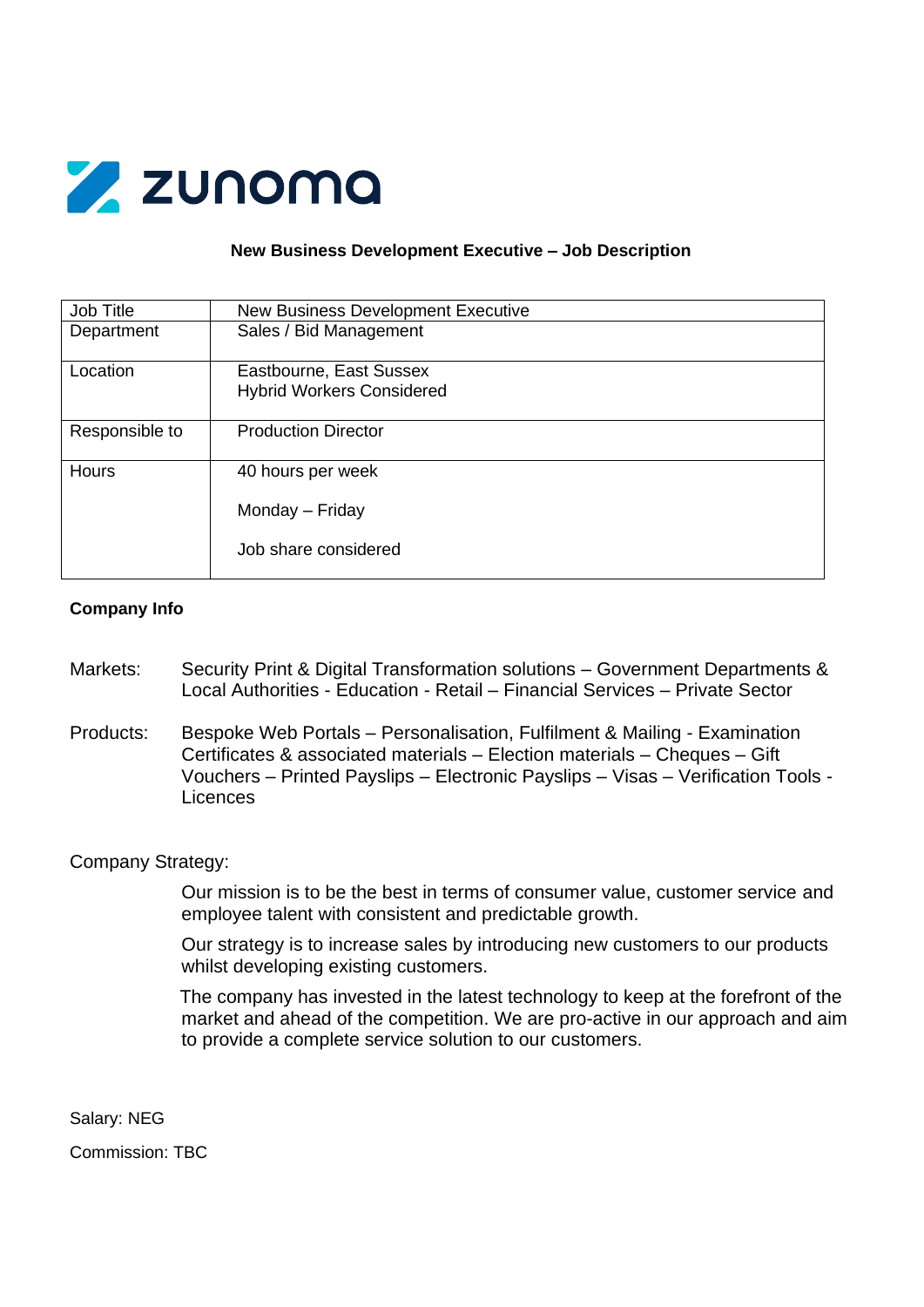

## **New Business Development Executive – Job Description**

| Job Title      | New Business Development Executive                          |  |  |
|----------------|-------------------------------------------------------------|--|--|
| Department     | Sales / Bid Management                                      |  |  |
| Location       | Eastbourne, East Sussex<br><b>Hybrid Workers Considered</b> |  |  |
| Responsible to | <b>Production Director</b>                                  |  |  |
| <b>Hours</b>   | 40 hours per week                                           |  |  |
|                | Monday - Friday                                             |  |  |
|                | Job share considered                                        |  |  |

### **Company Info**

- Markets: Security Print & Digital Transformation solutions Government Departments & Local Authorities - Education - Retail – Financial Services – Private Sector
- Products: Bespoke Web Portals Personalisation, Fulfilment & Mailing Examination Certificates & associated materials – Election materials – Cheques – Gift Vouchers – Printed Payslips – Electronic Payslips – Visas – Verification Tools - Licences

#### Company Strategy:

Our mission is to be the best in terms of consumer value, customer service and employee talent with consistent and predictable growth.

Our strategy is to increase sales by introducing new customers to our products whilst developing existing customers.

The company has invested in the latest technology to keep at the forefront of the market and ahead of the competition. We are pro-active in our approach and aim to provide a complete service solution to our customers.

Salary: NEG

Commission: TBC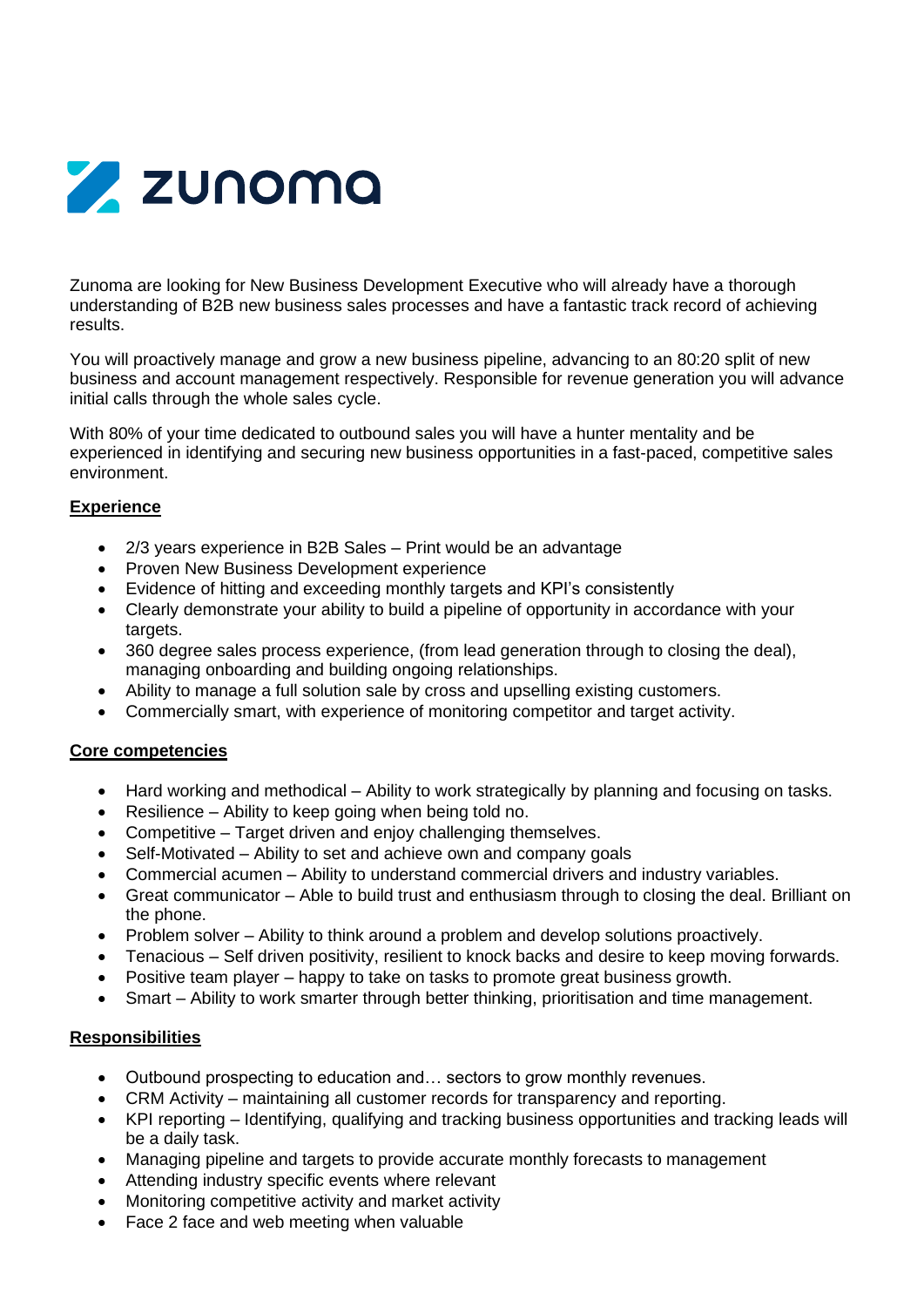

Zunoma are looking for New Business Development Executive who will already have a thorough understanding of B2B new business sales processes and have a fantastic track record of achieving results.

You will proactively manage and grow a new business pipeline, advancing to an 80:20 split of new business and account management respectively. Responsible for revenue generation you will advance initial calls through the whole sales cycle.

With 80% of your time dedicated to outbound sales you will have a hunter mentality and be experienced in identifying and securing new business opportunities in a fast-paced, competitive sales environment.

### **Experience**

- 2/3 years experience in B2B Sales Print would be an advantage
- Proven New Business Development experience
- Evidence of hitting and exceeding monthly targets and KPI's consistently
- Clearly demonstrate your ability to build a pipeline of opportunity in accordance with your targets.
- 360 degree sales process experience, (from lead generation through to closing the deal), managing onboarding and building ongoing relationships.
- Ability to manage a full solution sale by cross and upselling existing customers.
- Commercially smart, with experience of monitoring competitor and target activity.

# **Core competencies**

- Hard working and methodical Ability to work strategically by planning and focusing on tasks.
- Resilience Ability to keep going when being told no.
- Competitive Target driven and enjoy challenging themselves.
- Self-Motivated Ability to set and achieve own and company goals
- Commercial acumen Ability to understand commercial drivers and industry variables.
- Great communicator Able to build trust and enthusiasm through to closing the deal. Brilliant on the phone.
- Problem solver Ability to think around a problem and develop solutions proactively.
- Tenacious Self driven positivity, resilient to knock backs and desire to keep moving forwards.
- Positive team player happy to take on tasks to promote great business growth.
- Smart Ability to work smarter through better thinking, prioritisation and time management.

#### **Responsibilities**

- Outbound prospecting to education and... sectors to grow monthly revenues.
- CRM Activity maintaining all customer records for transparency and reporting.
- KPI reporting Identifying, qualifying and tracking business opportunities and tracking leads will be a daily task.
- Managing pipeline and targets to provide accurate monthly forecasts to management
- Attending industry specific events where relevant
- Monitoring competitive activity and market activity
- Face 2 face and web meeting when valuable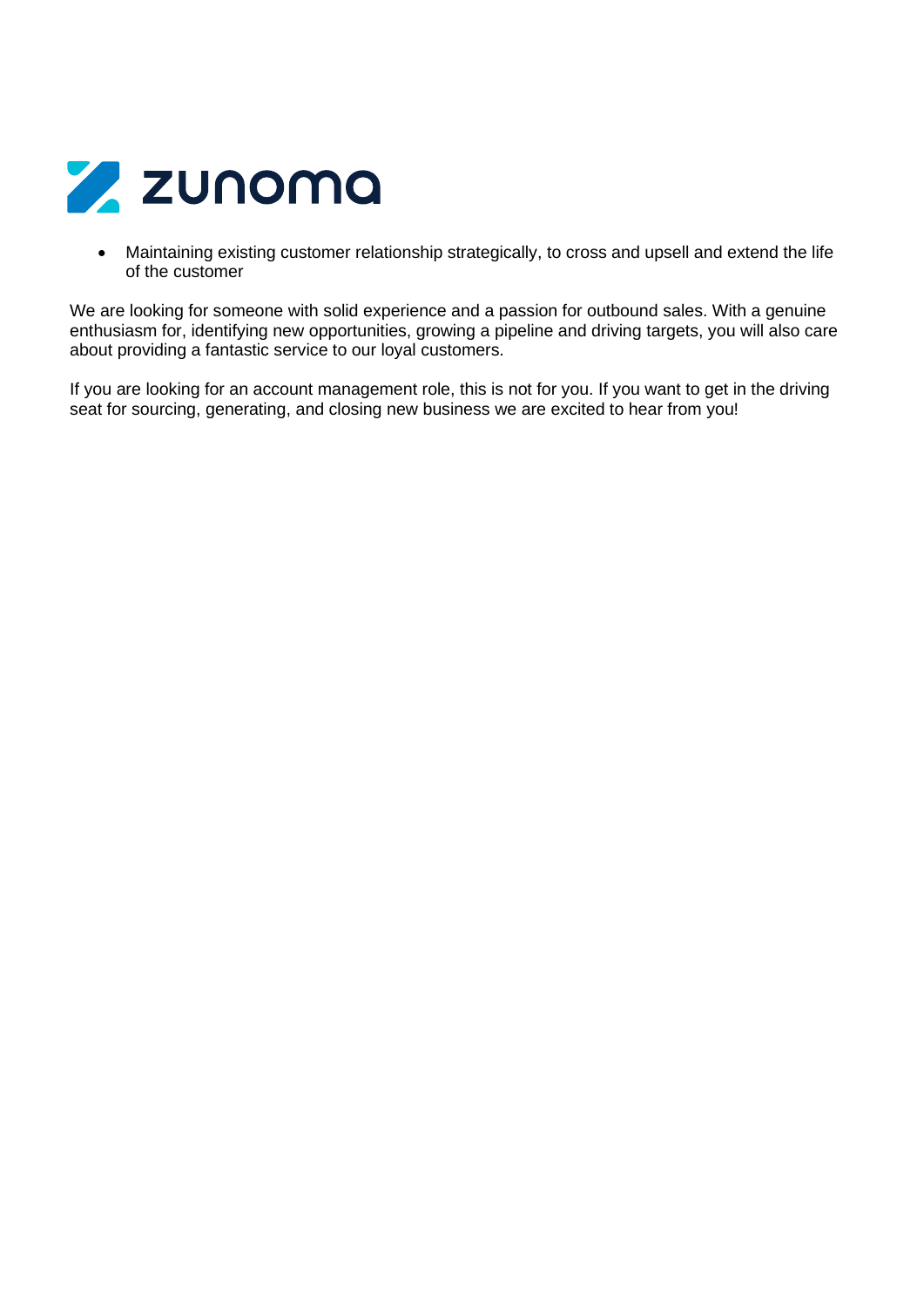

• Maintaining existing customer relationship strategically, to cross and upsell and extend the life of the customer

We are looking for someone with solid experience and a passion for outbound sales. With a genuine enthusiasm for, identifying new opportunities, growing a pipeline and driving targets, you will also care about providing a fantastic service to our loyal customers.

If you are looking for an account management role, this is not for you. If you want to get in the driving seat for sourcing, generating, and closing new business we are excited to hear from you!